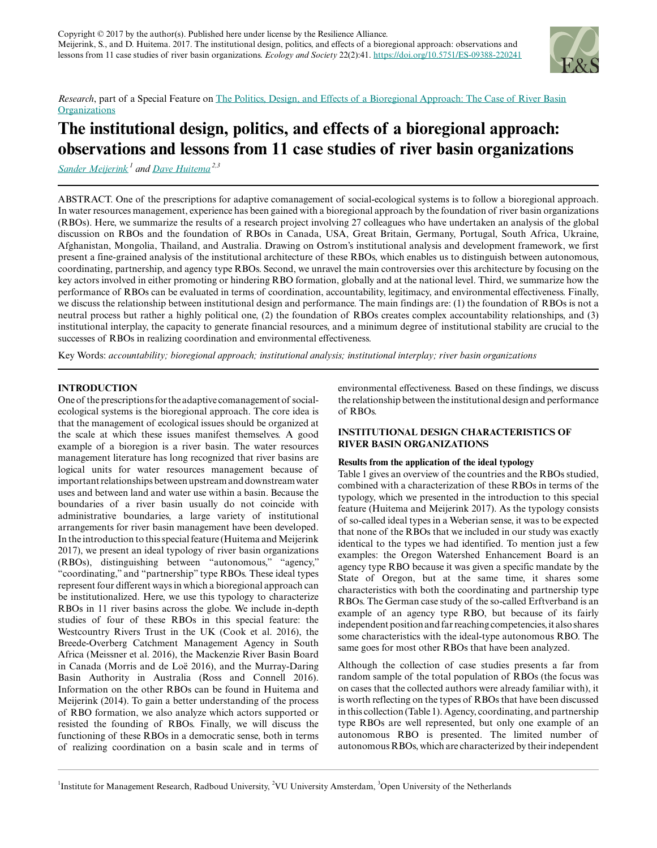

*Research*, part of a Special Feature on [The Politics, Design, and Effects of a Bioregional Approach: The Case of River Basin](https://www.ecologyandsociety.org/viewissue.php?sf=116) **[Organizations](https://www.ecologyandsociety.org/viewissue.php?sf=116)** 

# **The institutional design, politics, and effects of a bioregional approach: observations and lessons from 11 case studies of river basin organizations**

*[Sander Meijerink](mailto:S.Meijerink@fm.ru.nl)<sup>1</sup> and [Dave Huitema](mailto:dave.huitema@ivm.vu.nl) 2,3*

ABSTRACT. One of the prescriptions for adaptive comanagement of social-ecological systems is to follow a bioregional approach. In water resources management, experience has been gained with a bioregional approach by the foundation of river basin organizations (RBOs). Here, we summarize the results of a research project involving 27 colleagues who have undertaken an analysis of the global discussion on RBOs and the foundation of RBOs in Canada, USA, Great Britain, Germany, Portugal, South Africa, Ukraine, Afghanistan, Mongolia, Thailand, and Australia. Drawing on Ostrom's institutional analysis and development framework, we first present a fine-grained analysis of the institutional architecture of these RBOs, which enables us to distinguish between autonomous, coordinating, partnership, and agency type RBOs. Second, we unravel the main controversies over this architecture by focusing on the key actors involved in either promoting or hindering RBO formation, globally and at the national level. Third, we summarize how the performance of RBOs can be evaluated in terms of coordination, accountability, legitimacy, and environmental effectiveness. Finally, we discuss the relationship between institutional design and performance. The main findings are: (1) the foundation of RBOs is not a neutral process but rather a highly political one, (2) the foundation of RBOs creates complex accountability relationships, and (3) institutional interplay, the capacity to generate financial resources, and a minimum degree of institutional stability are crucial to the successes of RBOs in realizing coordination and environmental effectiveness.

Key Words: *accountability; bioregional approach; institutional analysis; institutional interplay; river basin organizations*

## **INTRODUCTION**

One of the prescriptions for the adaptive comanagement of socialecological systems is the bioregional approach. The core idea is that the management of ecological issues should be organized at the scale at which these issues manifest themselves. A good example of a bioregion is a river basin. The water resources management literature has long recognized that river basins are logical units for water resources management because of important relationships between upstream and downstream water uses and between land and water use within a basin. Because the boundaries of a river basin usually do not coincide with administrative boundaries, a large variety of institutional arrangements for river basin management have been developed. In the introduction to this special feature (Huitema and Meijerink 2017), we present an ideal typology of river basin organizations (RBOs), distinguishing between "autonomous," "agency," "coordinating," and "partnership" type RBOs. These ideal types represent four different ways in which a bioregional approach can be institutionalized. Here, we use this typology to characterize RBOs in 11 river basins across the globe. We include in-depth studies of four of these RBOs in this special feature: the Westcountry Rivers Trust in the UK (Cook et al. 2016), the Breede-Overberg Catchment Management Agency in South Africa (Meissner et al. 2016), the Mackenzie River Basin Board in Canada (Morris and de Loë 2016), and the Murray-Daring Basin Authority in Australia (Ross and Connell 2016). Information on the other RBOs can be found in Huitema and Meijerink (2014). To gain a better understanding of the process of RBO formation, we also analyze which actors supported or resisted the founding of RBOs. Finally, we will discuss the functioning of these RBOs in a democratic sense, both in terms of realizing coordination on a basin scale and in terms of

environmental effectiveness. Based on these findings, we discuss the relationship between the institutional design and performance of RBOs.

## **INSTITUTIONAL DESIGN CHARACTERISTICS OF RIVER BASIN ORGANIZATIONS**

#### **Results from the application of the ideal typology**

Table 1 gives an overview of the countries and the RBOs studied, combined with a characterization of these RBOs in terms of the typology, which we presented in the introduction to this special feature (Huitema and Meijerink 2017). As the typology consists of so-called ideal types in a Weberian sense, it was to be expected that none of the RBOs that we included in our study was exactly identical to the types we had identified. To mention just a few examples: the Oregon Watershed Enhancement Board is an agency type RBO because it was given a specific mandate by the State of Oregon, but at the same time, it shares some characteristics with both the coordinating and partnership type RBOs. The German case study of the so-called Erftverband is an example of an agency type RBO, but because of its fairly independent position and far reaching competencies, it also shares some characteristics with the ideal-type autonomous RBO. The same goes for most other RBOs that have been analyzed.

Although the collection of case studies presents a far from random sample of the total population of RBOs (the focus was on cases that the collected authors were already familiar with), it is worth reflecting on the types of RBOs that have been discussed in this collection (Table 1). Agency, coordinating, and partnership type RBOs are well represented, but only one example of an autonomous RBO is presented. The limited number of autonomous RBOs, which are characterized by their independent

<sup>&</sup>lt;sup>1</sup>Institute for Management Research, Radboud University, <sup>2</sup>VU University Amsterdam, <sup>3</sup>Open University of the Netherlands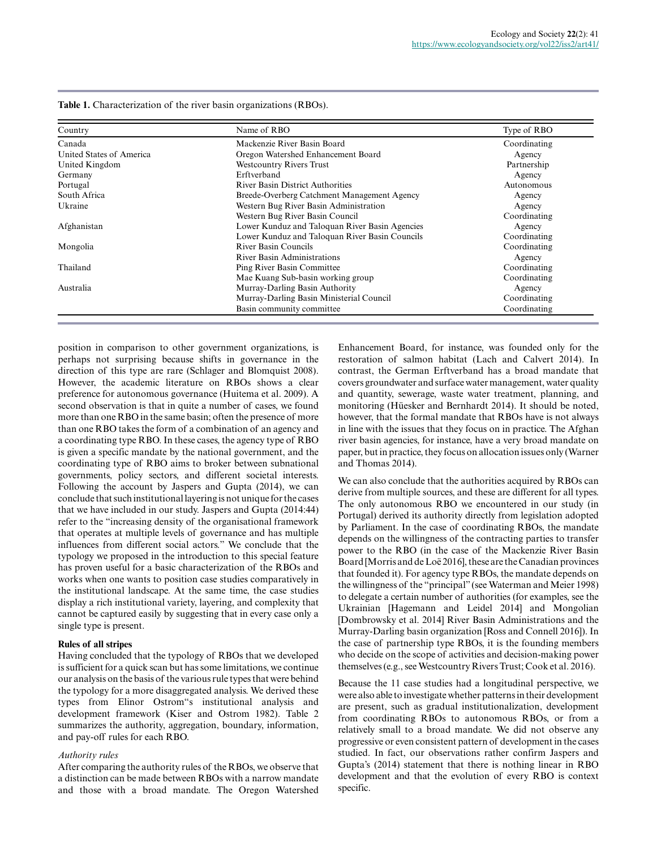| Country                  | Name of RBO                                    | Type of RBO  |
|--------------------------|------------------------------------------------|--------------|
| Canada                   | Mackenzie River Basin Board                    | Coordinating |
| United States of America | Oregon Watershed Enhancement Board             | Agency       |
| United Kingdom           | <b>Westcountry Rivers Trust</b>                | Partnership  |
| Germany                  | Erftverband                                    | Agency       |
| Portugal                 | <b>River Basin District Authorities</b>        | Autonomous   |
| South Africa             | Breede-Overberg Catchment Management Agency    | Agency       |
| Ukraine                  | Western Bug River Basin Administration         | Agency       |
|                          | Western Bug River Basin Council                | Coordinating |
| Afghanistan              | Lower Kunduz and Taloquan River Basin Agencies | Agency       |
|                          | Lower Kunduz and Taloquan River Basin Councils | Coordinating |
| Mongolia                 | River Basin Councils                           | Coordinating |
|                          | River Basin Administrations                    | Agency       |
| Thailand                 | Ping River Basin Committee                     | Coordinating |
|                          | Mae Kuang Sub-basin working group              | Coordinating |
| Australia                | Murray-Darling Basin Authority                 | Agency       |
|                          | Murray-Darling Basin Ministerial Council       | Coordinating |
|                          | Basin community committee                      | Coordinating |

**Table 1.** Characterization of the river basin organizations (RBOs).

position in comparison to other government organizations, is perhaps not surprising because shifts in governance in the direction of this type are rare (Schlager and Blomquist 2008). However, the academic literature on RBOs shows a clear preference for autonomous governance (Huitema et al. 2009). A second observation is that in quite a number of cases, we found more than one RBO in the same basin; often the presence of more than one RBO takes the form of a combination of an agency and a coordinating type RBO. In these cases, the agency type of RBO is given a specific mandate by the national government, and the coordinating type of RBO aims to broker between subnational governments, policy sectors, and different societal interests. Following the account by Jaspers and Gupta (2014), we can conclude that such institutional layering is not unique for the cases that we have included in our study. Jaspers and Gupta (2014:44) refer to the "increasing density of the organisational framework that operates at multiple levels of governance and has multiple influences from different social actors." We conclude that the typology we proposed in the introduction to this special feature has proven useful for a basic characterization of the RBOs and works when one wants to position case studies comparatively in the institutional landscape. At the same time, the case studies display a rich institutional variety, layering, and complexity that cannot be captured easily by suggesting that in every case only a single type is present.

#### **Rules of all stripes**

Having concluded that the typology of RBOs that we developed is sufficient for a quick scan but has some limitations, we continue our analysis on the basis of the various rule types that were behind the typology for a more disaggregated analysis. We derived these types from Elinor Ostrom"s institutional analysis and development framework (Kiser and Ostrom 1982). Table 2 summarizes the authority, aggregation, boundary, information, and pay-off rules for each RBO.

#### *Authority rules*

After comparing the authority rules of the RBOs, we observe that a distinction can be made between RBOs with a narrow mandate and those with a broad mandate. The Oregon Watershed

Enhancement Board, for instance, was founded only for the restoration of salmon habitat (Lach and Calvert 2014). In contrast, the German Erftverband has a broad mandate that covers groundwater and surface water management, water quality and quantity, sewerage, waste water treatment, planning, and monitoring (Hüesker and Bernhardt 2014). It should be noted, however, that the formal mandate that RBOs have is not always in line with the issues that they focus on in practice. The Afghan river basin agencies, for instance, have a very broad mandate on paper, but in practice, they focus on allocation issues only (Warner and Thomas 2014).

We can also conclude that the authorities acquired by RBOs can derive from multiple sources, and these are different for all types. The only autonomous RBO we encountered in our study (in Portugal) derived its authority directly from legislation adopted by Parliament. In the case of coordinating RBOs, the mandate depends on the willingness of the contracting parties to transfer power to the RBO (in the case of the Mackenzie River Basin Board [Morris and de Loë 2016], these are the Canadian provinces that founded it). For agency type RBOs, the mandate depends on the willingness of the "principal" (see Waterman and Meier 1998) to delegate a certain number of authorities (for examples, see the Ukrainian [Hagemann and Leidel 2014] and Mongolian [Dombrowsky et al. 2014] River Basin Administrations and the Murray-Darling basin organization [Ross and Connell 2016]). In the case of partnership type RBOs, it is the founding members who decide on the scope of activities and decision-making power themselves (e.g., see Westcountry Rivers Trust; Cook et al. 2016).

Because the 11 case studies had a longitudinal perspective, we were also able to investigate whether patterns in their development are present, such as gradual institutionalization, development from coordinating RBOs to autonomous RBOs, or from a relatively small to a broad mandate. We did not observe any progressive or even consistent pattern of development in the cases studied. In fact, our observations rather confirm Jaspers and Gupta's (2014) statement that there is nothing linear in RBO development and that the evolution of every RBO is context specific.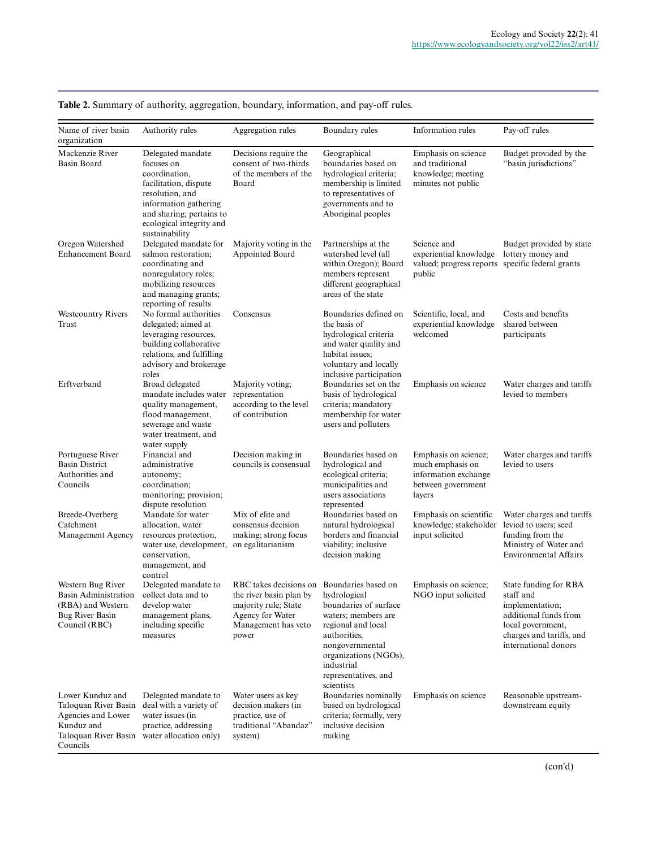| Name of river basin<br>organization                                                                | Authority rules                                                                                                                                                                                 | Aggregation rules                                                                                                                                              | Boundary rules                                                                                                                                                                     | Information rules                                                                                   | Pay-off rules                                                                                                                                           |
|----------------------------------------------------------------------------------------------------|-------------------------------------------------------------------------------------------------------------------------------------------------------------------------------------------------|----------------------------------------------------------------------------------------------------------------------------------------------------------------|------------------------------------------------------------------------------------------------------------------------------------------------------------------------------------|-----------------------------------------------------------------------------------------------------|---------------------------------------------------------------------------------------------------------------------------------------------------------|
| Mackenzie River<br>Basin Board                                                                     | Delegated mandate<br>focuses on<br>coordination,<br>facilitation, dispute<br>resolution, and<br>information gathering<br>and sharing; pertains to<br>ecological integrity and<br>sustainability | Decisions require the<br>consent of two-thirds<br>of the members of the<br>Board                                                                               | Geographical<br>boundaries based on<br>hydrological criteria;<br>membership is limited<br>to representatives of<br>governments and to<br>Aboriginal peoples                        | Emphasis on science<br>and traditional<br>knowledge; meeting<br>minutes not public                  | Budget provided by the<br>"basin jurisdictions"                                                                                                         |
| Oregon Watershed<br><b>Enhancement Board</b>                                                       | Delegated mandate for<br>salmon restoration;<br>coordinating and<br>nonregulatory roles;<br>mobilizing resources<br>and managing grants;<br>reporting of results                                | Majority voting in the<br>Appointed Board                                                                                                                      | Partnerships at the<br>watershed level (all<br>within Oregon); Board<br>members represent<br>different geographical<br>areas of the state                                          | Science and<br>experiential knowledge<br>valued; progress reports specific federal grants<br>public | Budget provided by state<br>lottery money and                                                                                                           |
| <b>Westcountry Rivers</b><br>Trust                                                                 | No formal authorities<br>delegated; aimed at<br>leveraging resources,<br>building collaborative<br>relations, and fulfilling<br>advisory and brokerage<br>roles                                 | Consensus                                                                                                                                                      | Boundaries defined on<br>the basis of<br>hydrological criteria<br>and water quality and<br>habitat issues;<br>voluntary and locally<br>inclusive participation                     | Scientific, local, and<br>experiential knowledge<br>welcomed                                        | Costs and benefits<br>shared between<br>participants                                                                                                    |
| Erftverband                                                                                        | Broad delegated<br>mandate includes water<br>quality management,<br>flood management,<br>sewerage and waste<br>water treatment, and<br>water supply                                             | Majority voting:<br>representation<br>according to the level<br>of contribution                                                                                | Boundaries set on the<br>basis of hydrological<br>criteria; mandatory<br>membership for water<br>users and polluters                                                               | Emphasis on science                                                                                 | Water charges and tariffs<br>levied to members                                                                                                          |
| Portuguese River<br><b>Basin District</b><br>Authorities and<br>Councils                           | Financial and<br>administrative<br>autonomy;<br>coordination;<br>monitoring; provision;<br>dispute resolution                                                                                   | Decision making in<br>councils is consensual                                                                                                                   | Boundaries based on<br>hydrological and<br>ecological criteria;<br>municipalities and<br>users associations<br>represented                                                         | Emphasis on science;<br>much emphasis on<br>information exchange<br>between government<br>layers    | Water charges and tariffs<br>levied to users                                                                                                            |
| Breede-Overberg<br>Catchment<br><b>Management Agency</b>                                           | Mandate for water<br>allocation, water<br>resources protection,<br>water use, development, on egalitarianism<br>conservation,<br>management, and<br>control                                     | Mix of elite and<br>consensus decision<br>making; strong focus                                                                                                 | Boundaries based on<br>natural hydrological<br>borders and financial<br>viability; inclusive<br>decision making                                                                    | Emphasis on scientific<br>knowledge; stakeholder<br>input solicited                                 | Water charges and tariffs<br>levied to users; seed<br>funding from the<br>Ministry of Water and<br><b>Environmental Affairs</b>                         |
| Western Bug River<br>Basin Administration<br>(RBA) and Western<br>Bug River Basin<br>Council (RBC) | Delegated mandate to<br>collect data and to<br>develop water<br>management plans,<br>including specific<br>measures                                                                             | RBC takes decisions on Boundaries based on<br>the river basin plan by hydrological<br>majority rule; State<br>Agency for Water<br>Management has veto<br>power | boundaries of surface<br>waters; members are<br>regional and local<br>authorities,<br>nongovernmental<br>organizations (NGOs),<br>industrial<br>representatives, and<br>scientists | Emphasis on science;<br>NGO input solicited                                                         | State funding for RBA<br>staff and<br>implementation;<br>additional funds from<br>local government,<br>charges and tariffs, and<br>international donors |
| Lower Kunduz and<br>Taloquan River Basin<br>Agencies and Lower<br>Kunduz and<br>Councils           | Delegated mandate to<br>deal with a variety of<br>water issues (in<br>practice, addressing<br>Taloquan River Basin water allocation only)                                                       | Water users as key<br>decision makers (in<br>practice, use of<br>traditional "Abandaz"<br>system)                                                              | Boundaries nominally<br>based on hydrological<br>criteria; formally, very<br>inclusive decision<br>making                                                                          | Emphasis on science                                                                                 | Reasonable upstream-<br>downstream equity                                                                                                               |

## **Table 2.** Summary of authority, aggregation, boundary, information, and pay-off rules.

(con'd)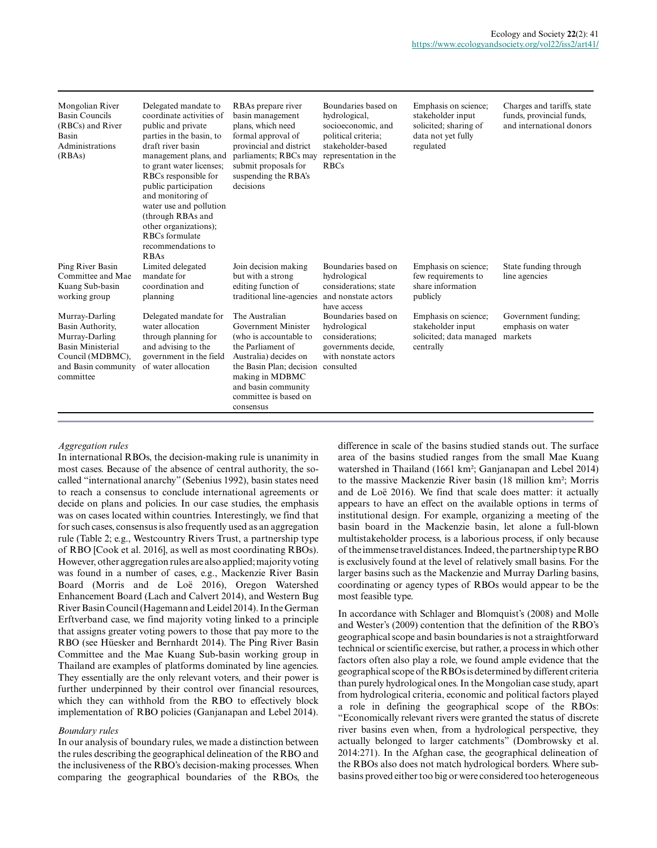| Mongolian River<br><b>Basin Councils</b><br>(RBCs) and River<br>Basin<br>Administrations<br>(RBAs)                                | Delegated mandate to<br>coordinate activities of<br>public and private<br>parties in the basin, to<br>draft river basin<br>management plans, and<br>to grant water licenses;<br>RBCs responsible for<br>public participation<br>and monitoring of<br>water use and pollution<br>(through RBAs and<br>other organizations);<br><b>RBCs</b> formulate<br>recommendations to<br><b>RBAs</b> | RBAs prepare river<br>basin management<br>plans, which need<br>formal approval of<br>provincial and district<br>parliaments; RBCs may<br>submit proposals for<br>suspending the RBA's<br>decisions                                  | Boundaries based on<br>hydrological,<br>socioeconomic, and<br>political criteria;<br>stakeholder-based<br>representation in the<br>RBCs | Emphasis on science;<br>stakeholder input<br>solicited; sharing of<br>data not yet fully<br>regulated | Charges and tariffs, state<br>funds, provincial funds,<br>and international donors |
|-----------------------------------------------------------------------------------------------------------------------------------|------------------------------------------------------------------------------------------------------------------------------------------------------------------------------------------------------------------------------------------------------------------------------------------------------------------------------------------------------------------------------------------|-------------------------------------------------------------------------------------------------------------------------------------------------------------------------------------------------------------------------------------|-----------------------------------------------------------------------------------------------------------------------------------------|-------------------------------------------------------------------------------------------------------|------------------------------------------------------------------------------------|
| Ping River Basin<br>Committee and Mae<br>Kuang Sub-basin<br>working group                                                         | Limited delegated<br>mandate for<br>coordination and<br>planning                                                                                                                                                                                                                                                                                                                         | Join decision making<br>but with a strong<br>editing function of<br>traditional line-agencies                                                                                                                                       | Boundaries based on<br>hydrological<br>considerations: state<br>and nonstate actors<br>have access                                      | Emphasis on science;<br>few requirements to<br>share information<br>publicly                          | State funding through<br>line agencies                                             |
| Murray-Darling<br>Basin Authority,<br>Murray-Darling<br>Basin Ministerial<br>Council (MDBMC),<br>and Basin community<br>committee | Delegated mandate for<br>water allocation<br>through planning for<br>and advising to the<br>government in the field<br>of water allocation                                                                                                                                                                                                                                               | The Australian<br>Government Minister<br>(who is accountable to<br>the Parliament of<br>Australia) decides on<br>the Basin Plan: decision consulted<br>making in MDBMC<br>and basin community<br>committee is based on<br>consensus | Boundaries based on<br>hydrological<br>considerations:<br>governments decide,<br>with nonstate actors                                   | Emphasis on science;<br>stakeholder input<br>solicited; data managed<br>centrally                     | Government funding:<br>emphasis on water<br>markets                                |

#### *Aggregation rules*

In international RBOs, the decision-making rule is unanimity in most cases. Because of the absence of central authority, the socalled "international anarchy" (Sebenius 1992), basin states need to reach a consensus to conclude international agreements or decide on plans and policies. In our case studies, the emphasis was on cases located within countries. Interestingly, we find that for such cases, consensus is also frequently used as an aggregation rule (Table 2; e.g., Westcountry Rivers Trust, a partnership type of RBO [Cook et al. 2016], as well as most coordinating RBOs). However, other aggregation rules are also applied; majority voting was found in a number of cases, e.g., Mackenzie River Basin Board (Morris and de Loë 2016), Oregon Watershed Enhancement Board (Lach and Calvert 2014), and Western Bug River Basin Council (Hagemann and Leidel 2014). In the German Erftverband case, we find majority voting linked to a principle that assigns greater voting powers to those that pay more to the RBO (see Hüesker and Bernhardt 2014). The Ping River Basin Committee and the Mae Kuang Sub-basin working group in Thailand are examples of platforms dominated by line agencies. They essentially are the only relevant voters, and their power is further underpinned by their control over financial resources, which they can withhold from the RBO to effectively block implementation of RBO policies (Ganjanapan and Lebel 2014).

#### *Boundary rules*

In our analysis of boundary rules, we made a distinction between the rules describing the geographical delineation of the RBO and the inclusiveness of the RBO's decision-making processes. When comparing the geographical boundaries of the RBOs, the difference in scale of the basins studied stands out. The surface area of the basins studied ranges from the small Mae Kuang watershed in Thailand (1661 km²; Ganjanapan and Lebel 2014) to the massive Mackenzie River basin (18 million km²; Morris and de Loë 2016). We find that scale does matter: it actually appears to have an effect on the available options in terms of institutional design. For example, organizing a meeting of the basin board in the Mackenzie basin, let alone a full-blown multistakeholder process, is a laborious process, if only because of the immense travel distances. Indeed, the partnership type RBO is exclusively found at the level of relatively small basins. For the larger basins such as the Mackenzie and Murray Darling basins, coordinating or agency types of RBOs would appear to be the most feasible type.

In accordance with Schlager and Blomquist's (2008) and Molle and Wester's (2009) contention that the definition of the RBO's geographical scope and basin boundaries is not a straightforward technical or scientific exercise, but rather, a process in which other factors often also play a role, we found ample evidence that the geographical scope of the RBOs is determined by different criteria than purely hydrological ones. In the Mongolian case study, apart from hydrological criteria, economic and political factors played a role in defining the geographical scope of the RBOs: "Economically relevant rivers were granted the status of discrete river basins even when, from a hydrological perspective, they actually belonged to larger catchments" (Dombrowsky et al. 2014:271). In the Afghan case, the geographical delineation of the RBOs also does not match hydrological borders. Where subbasins proved either too big or were considered too heterogeneous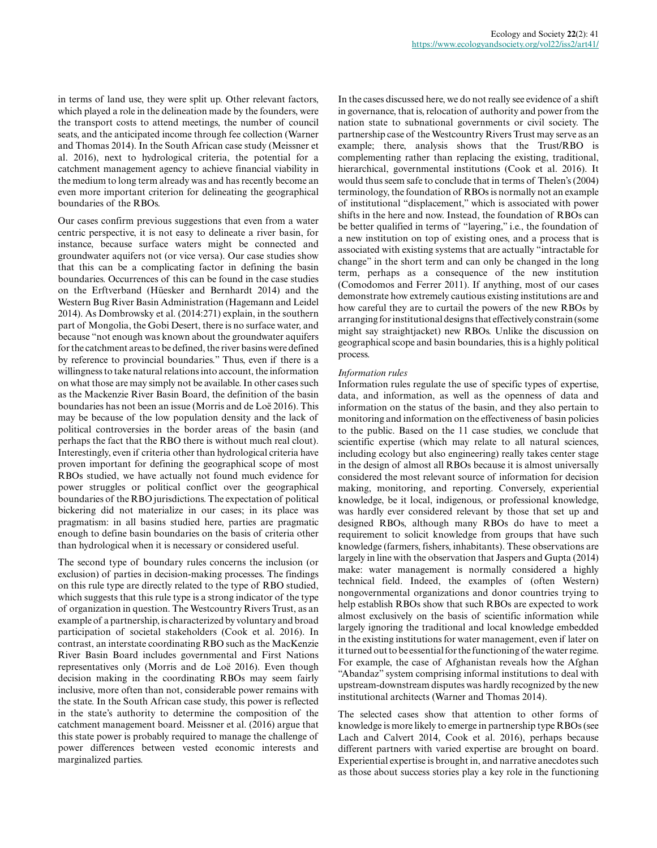in terms of land use, they were split up. Other relevant factors, which played a role in the delineation made by the founders, were the transport costs to attend meetings, the number of council seats, and the anticipated income through fee collection (Warner and Thomas 2014). In the South African case study (Meissner et al. 2016), next to hydrological criteria, the potential for a catchment management agency to achieve financial viability in the medium to long term already was and has recently become an even more important criterion for delineating the geographical boundaries of the RBOs.

Our cases confirm previous suggestions that even from a water centric perspective, it is not easy to delineate a river basin, for instance, because surface waters might be connected and groundwater aquifers not (or vice versa). Our case studies show that this can be a complicating factor in defining the basin boundaries. Occurrences of this can be found in the case studies on the Erftverband (Hüesker and Bernhardt 2014) and the Western Bug River Basin Administration (Hagemann and Leidel 2014). As Dombrowsky et al. (2014:271) explain, in the southern part of Mongolia, the Gobi Desert, there is no surface water, and because "not enough was known about the groundwater aquifers for the catchment areas to be defined, the river basins were defined by reference to provincial boundaries." Thus, even if there is a willingness to take natural relations into account, the information on what those are may simply not be available. In other cases such as the Mackenzie River Basin Board, the definition of the basin boundaries has not been an issue (Morris and de Loë 2016). This may be because of the low population density and the lack of political controversies in the border areas of the basin (and perhaps the fact that the RBO there is without much real clout). Interestingly, even if criteria other than hydrological criteria have proven important for defining the geographical scope of most RBOs studied, we have actually not found much evidence for power struggles or political conflict over the geographical boundaries of the RBO jurisdictions. The expectation of political bickering did not materialize in our cases; in its place was pragmatism: in all basins studied here, parties are pragmatic enough to define basin boundaries on the basis of criteria other than hydrological when it is necessary or considered useful.

The second type of boundary rules concerns the inclusion (or exclusion) of parties in decision-making processes. The findings on this rule type are directly related to the type of RBO studied, which suggests that this rule type is a strong indicator of the type of organization in question. The Westcountry Rivers Trust, as an example of a partnership, is characterized by voluntary and broad participation of societal stakeholders (Cook et al. 2016). In contrast, an interstate coordinating RBO such as the MacKenzie River Basin Board includes governmental and First Nations representatives only (Morris and de Loë 2016). Even though decision making in the coordinating RBOs may seem fairly inclusive, more often than not, considerable power remains with the state. In the South African case study, this power is reflected in the state's authority to determine the composition of the catchment management board. Meissner et al. (2016) argue that this state power is probably required to manage the challenge of power differences between vested economic interests and marginalized parties.

In the cases discussed here, we do not really see evidence of a shift in governance, that is, relocation of authority and power from the nation state to subnational governments or civil society. The partnership case of the Westcountry Rivers Trust may serve as an example; there, analysis shows that the Trust/RBO is complementing rather than replacing the existing, traditional, hierarchical, governmental institutions (Cook et al. 2016). It would thus seem safe to conclude that in terms of Thelen's (2004) terminology, the foundation of RBOs is normally not an example of institutional "displacement," which is associated with power shifts in the here and now. Instead, the foundation of RBOs can be better qualified in terms of "layering," i.e., the foundation of a new institution on top of existing ones, and a process that is associated with existing systems that are actually "intractable for change" in the short term and can only be changed in the long term, perhaps as a consequence of the new institution (Comodomos and Ferrer 2011). If anything, most of our cases demonstrate how extremely cautious existing institutions are and how careful they are to curtail the powers of the new RBOs by arranging for institutional designs that effectively constrain (some might say straightjacket) new RBOs. Unlike the discussion on geographical scope and basin boundaries, this is a highly political process.

#### *Information rules*

Information rules regulate the use of specific types of expertise, data, and information, as well as the openness of data and information on the status of the basin, and they also pertain to monitoring and information on the effectiveness of basin policies to the public. Based on the 11 case studies, we conclude that scientific expertise (which may relate to all natural sciences, including ecology but also engineering) really takes center stage in the design of almost all RBOs because it is almost universally considered the most relevant source of information for decision making, monitoring, and reporting. Conversely, experiential knowledge, be it local, indigenous, or professional knowledge, was hardly ever considered relevant by those that set up and designed RBOs, although many RBOs do have to meet a requirement to solicit knowledge from groups that have such knowledge (farmers, fishers, inhabitants). These observations are largely in line with the observation that Jaspers and Gupta (2014) make: water management is normally considered a highly technical field. Indeed, the examples of (often Western) nongovernmental organizations and donor countries trying to help establish RBOs show that such RBOs are expected to work almost exclusively on the basis of scientific information while largely ignoring the traditional and local knowledge embedded in the existing institutions for water management, even if later on it turned out to be essential for the functioning of the water regime. For example, the case of Afghanistan reveals how the Afghan "Abandaz" system comprising informal institutions to deal with upstream-downstream disputes was hardly recognized by the new institutional architects (Warner and Thomas 2014).

The selected cases show that attention to other forms of knowledge is more likely to emerge in partnership type RBOs (see Lach and Calvert 2014, Cook et al. 2016), perhaps because different partners with varied expertise are brought on board. Experiential expertise is brought in, and narrative anecdotes such as those about success stories play a key role in the functioning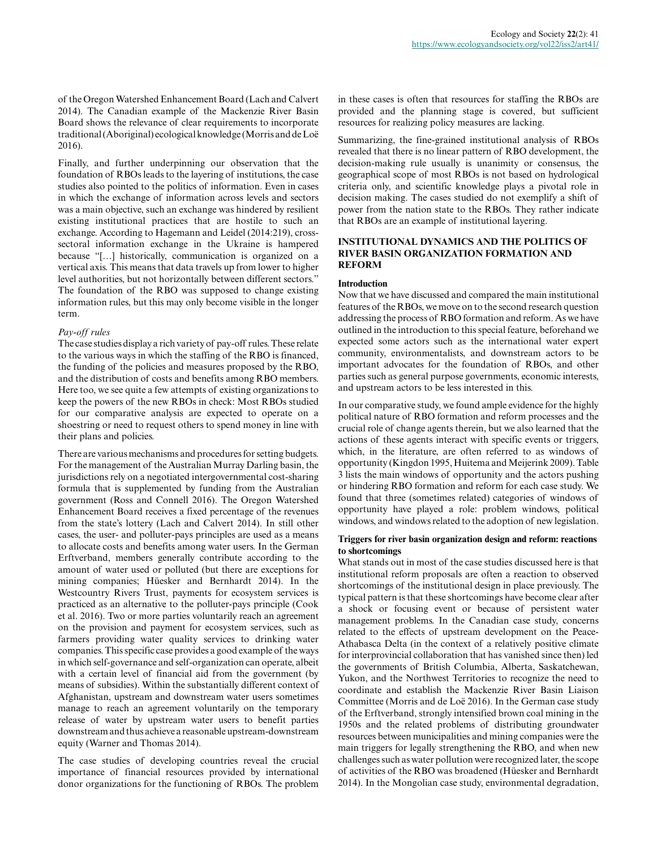of the Oregon Watershed Enhancement Board (Lach and Calvert 2014). The Canadian example of the Mackenzie River Basin Board shows the relevance of clear requirements to incorporate traditional (Aboriginal) ecological knowledge (Morris and de Loë 2016).

Finally, and further underpinning our observation that the foundation of RBOs leads to the layering of institutions, the case studies also pointed to the politics of information. Even in cases in which the exchange of information across levels and sectors was a main objective, such an exchange was hindered by resilient existing institutional practices that are hostile to such an exchange. According to Hagemann and Leidel (2014:219), crosssectoral information exchange in the Ukraine is hampered because "[…] historically, communication is organized on a vertical axis. This means that data travels up from lower to higher level authorities, but not horizontally between different sectors." The foundation of the RBO was supposed to change existing information rules, but this may only become visible in the longer term.

## *Pay-off rules*

The case studies display a rich variety of pay-off rules. These relate to the various ways in which the staffing of the RBO is financed, the funding of the policies and measures proposed by the RBO, and the distribution of costs and benefits among RBO members. Here too, we see quite a few attempts of existing organizations to keep the powers of the new RBOs in check: Most RBOs studied for our comparative analysis are expected to operate on a shoestring or need to request others to spend money in line with their plans and policies.

There are various mechanisms and procedures for setting budgets. For the management of the Australian Murray Darling basin, the jurisdictions rely on a negotiated intergovernmental cost-sharing formula that is supplemented by funding from the Australian government (Ross and Connell 2016). The Oregon Watershed Enhancement Board receives a fixed percentage of the revenues from the state's lottery (Lach and Calvert 2014). In still other cases, the user- and polluter-pays principles are used as a means to allocate costs and benefits among water users. In the German Erftverband, members generally contribute according to the amount of water used or polluted (but there are exceptions for mining companies; Hüesker and Bernhardt 2014). In the Westcountry Rivers Trust, payments for ecosystem services is practiced as an alternative to the polluter-pays principle (Cook et al. 2016). Two or more parties voluntarily reach an agreement on the provision and payment for ecosystem services, such as farmers providing water quality services to drinking water companies. This specific case provides a good example of the ways in which self-governance and self-organization can operate, albeit with a certain level of financial aid from the government (by means of subsidies). Within the substantially different context of Afghanistan, upstream and downstream water users sometimes manage to reach an agreement voluntarily on the temporary release of water by upstream water users to benefit parties downstream and thus achieve a reasonable upstream-downstream equity (Warner and Thomas 2014).

The case studies of developing countries reveal the crucial importance of financial resources provided by international donor organizations for the functioning of RBOs. The problem in these cases is often that resources for staffing the RBOs are provided and the planning stage is covered, but sufficient resources for realizing policy measures are lacking.

Summarizing, the fine-grained institutional analysis of RBOs revealed that there is no linear pattern of RBO development, the decision-making rule usually is unanimity or consensus, the geographical scope of most RBOs is not based on hydrological criteria only, and scientific knowledge plays a pivotal role in decision making. The cases studied do not exemplify a shift of power from the nation state to the RBOs. They rather indicate that RBOs are an example of institutional layering.

## **INSTITUTIONAL DYNAMICS AND THE POLITICS OF RIVER BASIN ORGANIZATION FORMATION AND REFORM**

## **Introduction**

Now that we have discussed and compared the main institutional features of the RBOs, we move on to the second research question addressing the process of RBO formation and reform. As we have outlined in the introduction to this special feature, beforehand we expected some actors such as the international water expert community, environmentalists, and downstream actors to be important advocates for the foundation of RBOs, and other parties such as general purpose governments, economic interests, and upstream actors to be less interested in this.

In our comparative study, we found ample evidence for the highly political nature of RBO formation and reform processes and the crucial role of change agents therein, but we also learned that the actions of these agents interact with specific events or triggers, which, in the literature, are often referred to as windows of opportunity (Kingdon 1995, Huitema and Meijerink 2009). Table 3 lists the main windows of opportunity and the actors pushing or hindering RBO formation and reform for each case study. We found that three (sometimes related) categories of windows of opportunity have played a role: problem windows, political windows, and windows related to the adoption of new legislation.

## **Triggers for river basin organization design and reform: reactions to shortcomings**

What stands out in most of the case studies discussed here is that institutional reform proposals are often a reaction to observed shortcomings of the institutional design in place previously. The typical pattern is that these shortcomings have become clear after a shock or focusing event or because of persistent water management problems. In the Canadian case study, concerns related to the effects of upstream development on the Peace-Athabasca Delta (in the context of a relatively positive climate for interprovincial collaboration that has vanished since then) led the governments of British Columbia, Alberta, Saskatchewan, Yukon, and the Northwest Territories to recognize the need to coordinate and establish the Mackenzie River Basin Liaison Committee (Morris and de Loë 2016). In the German case study of the Erftverband, strongly intensified brown coal mining in the 1950s and the related problems of distributing groundwater resources between municipalities and mining companies were the main triggers for legally strengthening the RBO, and when new challenges such as water pollution were recognized later, the scope of activities of the RBO was broadened (Hüesker and Bernhardt 2014). In the Mongolian case study, environmental degradation,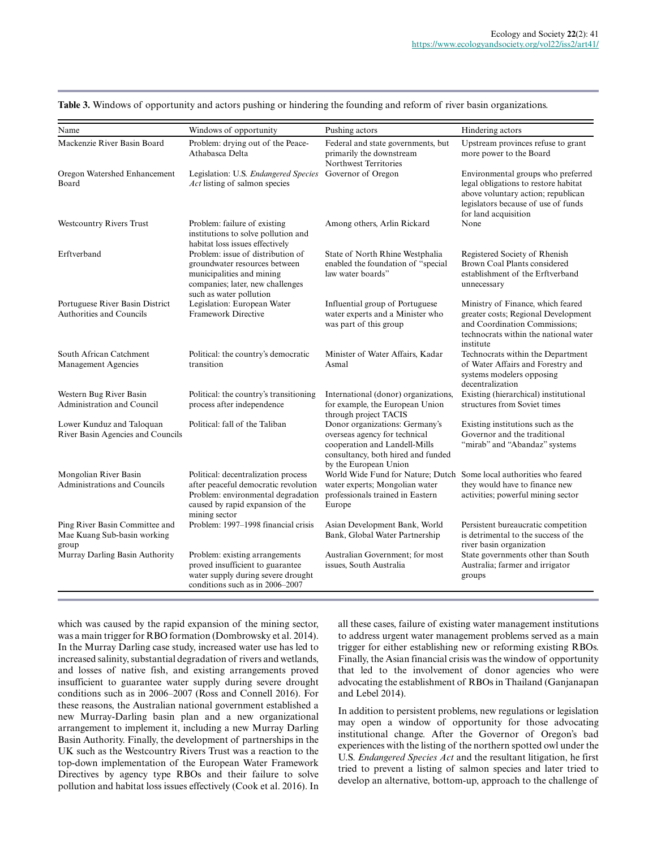| Name                                                                   | Windows of opportunity                                                                                                                                                 | Pushing actors                                                                                                                                                  | Hindering actors                                                                                                                                                                |
|------------------------------------------------------------------------|------------------------------------------------------------------------------------------------------------------------------------------------------------------------|-----------------------------------------------------------------------------------------------------------------------------------------------------------------|---------------------------------------------------------------------------------------------------------------------------------------------------------------------------------|
| Mackenzie River Basin Board                                            | Problem: drying out of the Peace-<br>Athabasca Delta                                                                                                                   | Federal and state governments, but<br>primarily the downstream<br>Northwest Territories                                                                         | Upstream provinces refuse to grant<br>more power to the Board                                                                                                                   |
| Oregon Watershed Enhancement<br>Board                                  | Legislation: U.S. Endangered Species<br>Act listing of salmon species                                                                                                  | Governor of Oregon                                                                                                                                              | Environmental groups who preferred<br>legal obligations to restore habitat<br>above voluntary action; republican<br>legislators because of use of funds<br>for land acquisition |
| <b>Westcountry Rivers Trust</b>                                        | Problem: failure of existing<br>institutions to solve pollution and<br>habitat loss issues effectively                                                                 | Among others, Arlin Rickard                                                                                                                                     | None                                                                                                                                                                            |
| Erftverband                                                            | Problem: issue of distribution of<br>groundwater resources between<br>municipalities and mining<br>companies; later, new challenges<br>such as water pollution         | State of North Rhine Westphalia<br>enabled the foundation of "special<br>law water boards"                                                                      | Registered Society of Rhenish<br>Brown Coal Plants considered<br>establishment of the Erftverband<br>unnecessary                                                                |
| Portuguese River Basin District<br>Authorities and Councils            | Legislation: European Water<br>Framework Directive                                                                                                                     | Influential group of Portuguese<br>water experts and a Minister who<br>was part of this group                                                                   | Ministry of Finance, which feared<br>greater costs; Regional Development<br>and Coordination Commissions:<br>technocrats within the national water<br>institute                 |
| South African Catchment<br><b>Management Agencies</b>                  | Political: the country's democratic<br>transition                                                                                                                      | Minister of Water Affairs, Kadar<br>Asmal                                                                                                                       | Technocrats within the Department<br>of Water Affairs and Forestry and<br>systems modelers opposing<br>decentralization                                                         |
| Western Bug River Basin<br>Administration and Council                  | Political: the country's transitioning<br>process after independence                                                                                                   | International (donor) organizations,<br>for example, the European Union<br>through project TACIS                                                                | Existing (hierarchical) institutional<br>structures from Soviet times                                                                                                           |
| Lower Kunduz and Taloquan<br>River Basin Agencies and Councils         | Political: fall of the Taliban                                                                                                                                         | Donor organizations: Germany's<br>overseas agency for technical<br>cooperation and Landell-Mills<br>consultancy, both hired and funded<br>by the European Union | Existing institutions such as the<br>Governor and the traditional<br>"mirab" and "Abandaz" systems                                                                              |
| Mongolian River Basin<br><b>Administrations and Councils</b>           | Political: decentralization process<br>after peaceful democratic revolution<br>Problem: environmental degradation<br>caused by rapid expansion of the<br>mining sector | World Wide Fund for Nature; Dutch Some local authorities who feared<br>water experts; Mongolian water<br>professionals trained in Eastern<br>Europe             | they would have to finance new<br>activities; powerful mining sector                                                                                                            |
| Ping River Basin Committee and<br>Mae Kuang Sub-basin working<br>group | Problem: 1997–1998 financial crisis                                                                                                                                    | Asian Development Bank, World<br>Bank, Global Water Partnership                                                                                                 | Persistent bureaucratic competition<br>is detrimental to the success of the<br>river basin organization                                                                         |
| Murray Darling Basin Authority                                         | Problem: existing arrangements<br>proved insufficient to guarantee<br>water supply during severe drought<br>conditions such as in 2006-2007                            | Australian Government; for most<br>issues, South Australia                                                                                                      | State governments other than South<br>Australia; farmer and irrigator<br>groups                                                                                                 |

**Table 3.** Windows of opportunity and actors pushing or hindering the founding and reform of river basin organizations.

which was caused by the rapid expansion of the mining sector, was a main trigger for RBO formation (Dombrowsky et al. 2014). In the Murray Darling case study, increased water use has led to increased salinity, substantial degradation of rivers and wetlands, and losses of native fish, and existing arrangements proved insufficient to guarantee water supply during severe drought conditions such as in 2006–2007 (Ross and Connell 2016). For these reasons, the Australian national government established a new Murray-Darling basin plan and a new organizational arrangement to implement it, including a new Murray Darling Basin Authority. Finally, the development of partnerships in the UK such as the Westcountry Rivers Trust was a reaction to the top-down implementation of the European Water Framework Directives by agency type RBOs and their failure to solve pollution and habitat loss issues effectively (Cook et al. 2016). In

all these cases, failure of existing water management institutions to address urgent water management problems served as a main trigger for either establishing new or reforming existing RBOs. Finally, the Asian financial crisis was the window of opportunity that led to the involvement of donor agencies who were advocating the establishment of RBOs in Thailand (Ganjanapan and Lebel 2014).

In addition to persistent problems, new regulations or legislation may open a window of opportunity for those advocating institutional change. After the Governor of Oregon's bad experiences with the listing of the northern spotted owl under the U.S. *Endangered Species Act* and the resultant litigation, he first tried to prevent a listing of salmon species and later tried to develop an alternative, bottom-up, approach to the challenge of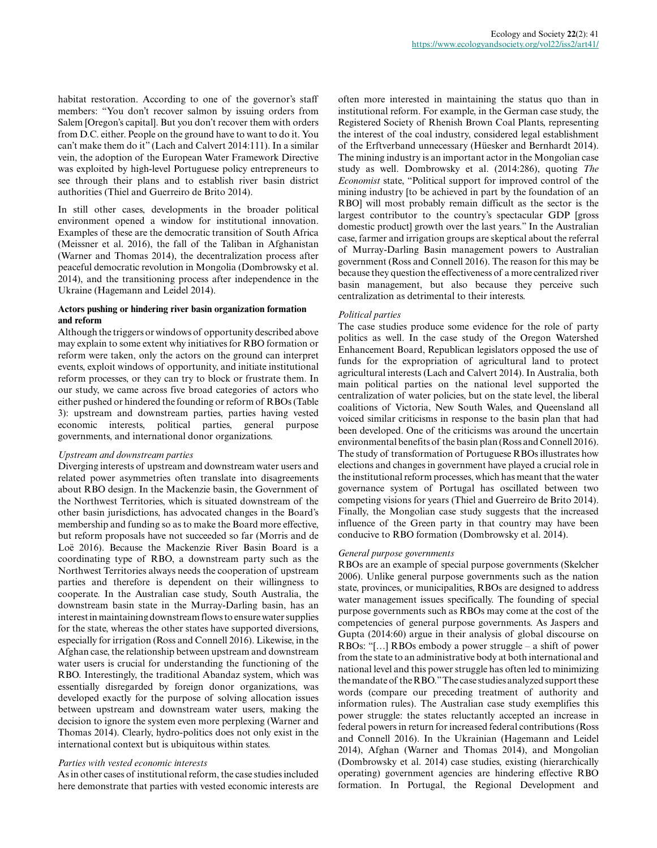habitat restoration. According to one of the governor's staff members: "You don't recover salmon by issuing orders from Salem [Oregon's capital]. But you don't recover them with orders from D.C. either. People on the ground have to want to do it. You can't make them do it" (Lach and Calvert 2014:111). In a similar vein, the adoption of the European Water Framework Directive was exploited by high-level Portuguese policy entrepreneurs to see through their plans and to establish river basin district authorities (Thiel and Guerreiro de Brito 2014).

In still other cases, developments in the broader political environment opened a window for institutional innovation. Examples of these are the democratic transition of South Africa (Meissner et al. 2016), the fall of the Taliban in Afghanistan (Warner and Thomas 2014), the decentralization process after peaceful democratic revolution in Mongolia (Dombrowsky et al. 2014), and the transitioning process after independence in the Ukraine (Hagemann and Leidel 2014).

## **Actors pushing or hindering river basin organization formation and reform**

Although the triggers or windows of opportunity described above may explain to some extent why initiatives for RBO formation or reform were taken, only the actors on the ground can interpret events, exploit windows of opportunity, and initiate institutional reform processes, or they can try to block or frustrate them. In our study, we came across five broad categories of actors who either pushed or hindered the founding or reform of RBOs (Table 3): upstream and downstream parties, parties having vested economic interests, political parties, general purpose governments, and international donor organizations.

## *Upstream and downstream parties*

Diverging interests of upstream and downstream water users and related power asymmetries often translate into disagreements about RBO design. In the Mackenzie basin, the Government of the Northwest Territories, which is situated downstream of the other basin jurisdictions, has advocated changes in the Board's membership and funding so as to make the Board more effective, but reform proposals have not succeeded so far (Morris and de Loë 2016). Because the Mackenzie River Basin Board is a coordinating type of RBO, a downstream party such as the Northwest Territories always needs the cooperation of upstream parties and therefore is dependent on their willingness to cooperate. In the Australian case study, South Australia, the downstream basin state in the Murray-Darling basin, has an interest in maintaining downstream flows to ensure water supplies for the state, whereas the other states have supported diversions, especially for irrigation (Ross and Connell 2016). Likewise, in the Afghan case, the relationship between upstream and downstream water users is crucial for understanding the functioning of the RBO. Interestingly, the traditional Abandaz system, which was essentially disregarded by foreign donor organizations, was developed exactly for the purpose of solving allocation issues between upstream and downstream water users, making the decision to ignore the system even more perplexing (Warner and Thomas 2014). Clearly, hydro-politics does not only exist in the international context but is ubiquitous within states.

## *Parties with vested economic interests*

As in other cases of institutional reform, the case studies included here demonstrate that parties with vested economic interests are often more interested in maintaining the status quo than in institutional reform. For example, in the German case study, the Registered Society of Rhenish Brown Coal Plants, representing the interest of the coal industry, considered legal establishment of the Erftverband unnecessary (Hüesker and Bernhardt 2014). The mining industry is an important actor in the Mongolian case study as well. Dombrowsky et al. (2014:286), quoting *The Economist* state, "Political support for improved control of the mining industry [to be achieved in part by the foundation of an RBO] will most probably remain difficult as the sector is the largest contributor to the country's spectacular GDP [gross domestic product] growth over the last years." In the Australian case, farmer and irrigation groups are skeptical about the referral of Murray-Darling Basin management powers to Australian government (Ross and Connell 2016). The reason for this may be because they question the effectiveness of a more centralized river basin management, but also because they perceive such centralization as detrimental to their interests.

## *Political parties*

The case studies produce some evidence for the role of party politics as well. In the case study of the Oregon Watershed Enhancement Board, Republican legislators opposed the use of funds for the expropriation of agricultural land to protect agricultural interests (Lach and Calvert 2014). In Australia, both main political parties on the national level supported the centralization of water policies, but on the state level, the liberal coalitions of Victoria, New South Wales, and Queensland all voiced similar criticisms in response to the basin plan that had been developed. One of the criticisms was around the uncertain environmental benefits of the basin plan (Ross and Connell 2016). The study of transformation of Portuguese RBOs illustrates how elections and changes in government have played a crucial role in the institutional reform processes, which has meant that the water governance system of Portugal has oscillated between two competing visions for years (Thiel and Guerreiro de Brito 2014). Finally, the Mongolian case study suggests that the increased influence of the Green party in that country may have been conducive to RBO formation (Dombrowsky et al. 2014).

## *General purpose governments*

RBOs are an example of special purpose governments (Skelcher 2006). Unlike general purpose governments such as the nation state, provinces, or municipalities, RBOs are designed to address water management issues specifically. The founding of special purpose governments such as RBOs may come at the cost of the competencies of general purpose governments. As Jaspers and Gupta (2014:60) argue in their analysis of global discourse on RBOs: "[…] RBOs embody a power struggle – a shift of power from the state to an administrative body at both international and national level and this power struggle has often led to minimizing the mandate of the RBO." The case studies analyzed support these words (compare our preceding treatment of authority and information rules). The Australian case study exemplifies this power struggle: the states reluctantly accepted an increase in federal powers in return for increased federal contributions (Ross and Connell 2016). In the Ukrainian (Hagemann and Leidel 2014), Afghan (Warner and Thomas 2014), and Mongolian (Dombrowsky et al. 2014) case studies, existing (hierarchically operating) government agencies are hindering effective RBO formation. In Portugal, the Regional Development and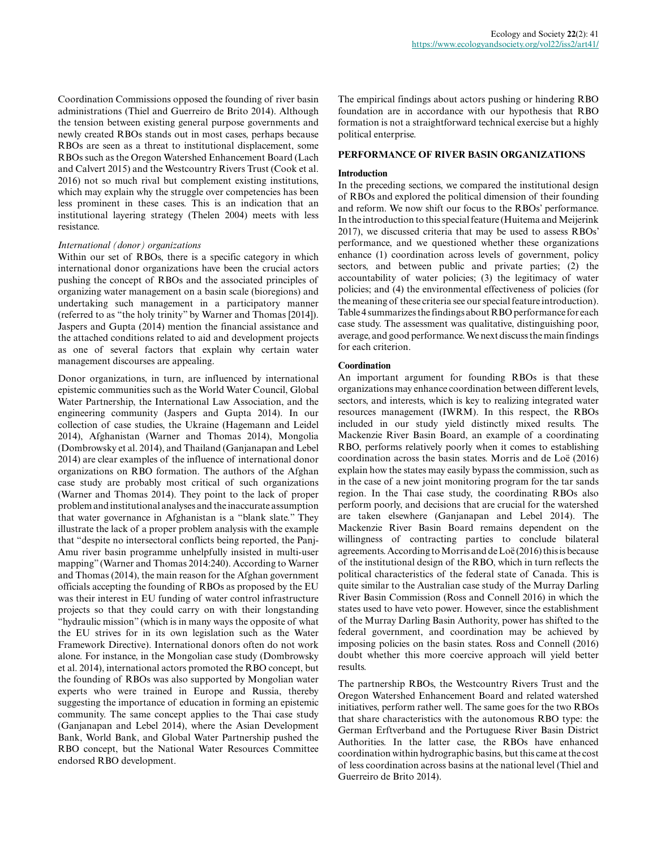Coordination Commissions opposed the founding of river basin administrations (Thiel and Guerreiro de Brito 2014). Although the tension between existing general purpose governments and newly created RBOs stands out in most cases, perhaps because RBOs are seen as a threat to institutional displacement, some RBOs such as the Oregon Watershed Enhancement Board (Lach and Calvert 2015) and the Westcountry Rivers Trust (Cook et al. 2016) not so much rival but complement existing institutions, which may explain why the struggle over competencies has been less prominent in these cases. This is an indication that an institutional layering strategy (Thelen 2004) meets with less resistance.

#### *International (donor) organizations*

Within our set of RBOs, there is a specific category in which international donor organizations have been the crucial actors pushing the concept of RBOs and the associated principles of organizing water management on a basin scale (bioregions) and undertaking such management in a participatory manner (referred to as "the holy trinity" by Warner and Thomas [2014]). Jaspers and Gupta (2014) mention the financial assistance and the attached conditions related to aid and development projects as one of several factors that explain why certain water management discourses are appealing.

Donor organizations, in turn, are influenced by international epistemic communities such as the World Water Council, Global Water Partnership, the International Law Association, and the engineering community (Jaspers and Gupta 2014). In our collection of case studies, the Ukraine (Hagemann and Leidel 2014), Afghanistan (Warner and Thomas 2014), Mongolia (Dombrowsky et al. 2014), and Thailand (Ganjanapan and Lebel 2014) are clear examples of the influence of international donor organizations on RBO formation. The authors of the Afghan case study are probably most critical of such organizations (Warner and Thomas 2014). They point to the lack of proper problem and institutional analyses and the inaccurate assumption that water governance in Afghanistan is a "blank slate." They illustrate the lack of a proper problem analysis with the example that "despite no intersectoral conflicts being reported, the Panj-Amu river basin programme unhelpfully insisted in multi-user mapping" (Warner and Thomas 2014:240). According to Warner and Thomas (2014), the main reason for the Afghan government officials accepting the founding of RBOs as proposed by the EU was their interest in EU funding of water control infrastructure projects so that they could carry on with their longstanding "hydraulic mission" (which is in many ways the opposite of what the EU strives for in its own legislation such as the Water Framework Directive). International donors often do not work alone. For instance, in the Mongolian case study (Dombrowsky et al. 2014), international actors promoted the RBO concept, but the founding of RBOs was also supported by Mongolian water experts who were trained in Europe and Russia, thereby suggesting the importance of education in forming an epistemic community. The same concept applies to the Thai case study (Ganjanapan and Lebel 2014), where the Asian Development Bank, World Bank, and Global Water Partnership pushed the RBO concept, but the National Water Resources Committee endorsed RBO development.

The empirical findings about actors pushing or hindering RBO foundation are in accordance with our hypothesis that RBO formation is not a straightforward technical exercise but a highly political enterprise.

#### **PERFORMANCE OF RIVER BASIN ORGANIZATIONS**

#### **Introduction**

In the preceding sections, we compared the institutional design of RBOs and explored the political dimension of their founding and reform. We now shift our focus to the RBOs' performance. In the introduction to this special feature (Huitema and Meijerink 2017), we discussed criteria that may be used to assess RBOs' performance, and we questioned whether these organizations enhance (1) coordination across levels of government, policy sectors, and between public and private parties; (2) the accountability of water policies; (3) the legitimacy of water policies; and (4) the environmental effectiveness of policies (for the meaning of these criteria see our special feature introduction). Table 4 summarizes the findings about RBO performance for each case study. The assessment was qualitative, distinguishing poor, average, and good performance. We next discuss the main findings for each criterion.

#### **Coordination**

An important argument for founding RBOs is that these organizations may enhance coordination between different levels, sectors, and interests, which is key to realizing integrated water resources management (IWRM). In this respect, the RBOs included in our study yield distinctly mixed results. The Mackenzie River Basin Board, an example of a coordinating RBO, performs relatively poorly when it comes to establishing coordination across the basin states. Morris and de Loë (2016) explain how the states may easily bypass the commission, such as in the case of a new joint monitoring program for the tar sands region. In the Thai case study, the coordinating RBOs also perform poorly, and decisions that are crucial for the watershed are taken elsewhere (Ganjanapan and Lebel 2014). The Mackenzie River Basin Board remains dependent on the willingness of contracting parties to conclude bilateral agreements. According to Morris and de Loë (2016) this is because of the institutional design of the RBO, which in turn reflects the political characteristics of the federal state of Canada. This is quite similar to the Australian case study of the Murray Darling River Basin Commission (Ross and Connell 2016) in which the states used to have veto power. However, since the establishment of the Murray Darling Basin Authority, power has shifted to the federal government, and coordination may be achieved by imposing policies on the basin states. Ross and Connell (2016) doubt whether this more coercive approach will yield better results.

The partnership RBOs, the Westcountry Rivers Trust and the Oregon Watershed Enhancement Board and related watershed initiatives, perform rather well. The same goes for the two RBOs that share characteristics with the autonomous RBO type: the German Erftverband and the Portuguese River Basin District Authorities. In the latter case, the RBOs have enhanced coordination within hydrographic basins, but this came at the cost of less coordination across basins at the national level (Thiel and Guerreiro de Brito 2014).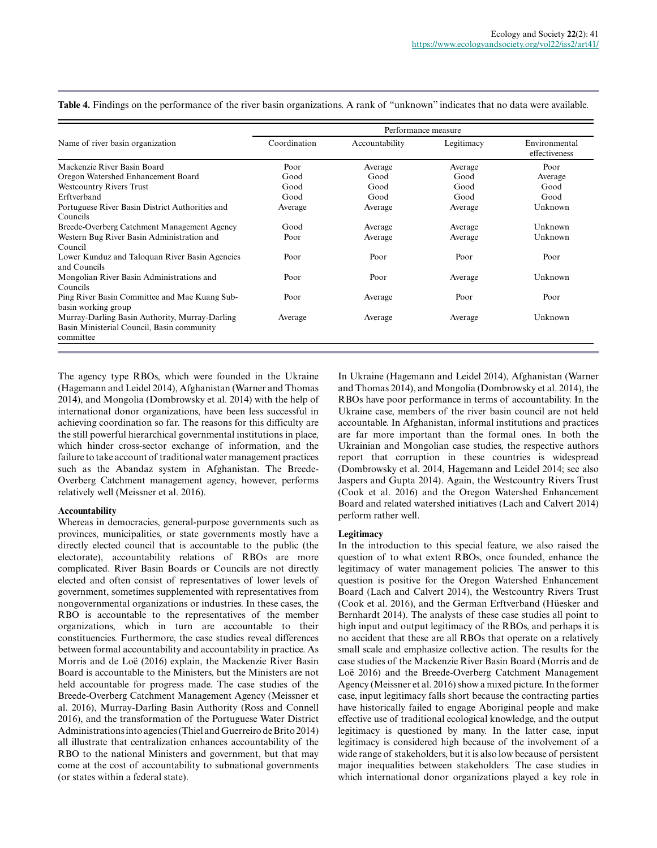|                                                                                                           | Performance measure |                |            |                                |
|-----------------------------------------------------------------------------------------------------------|---------------------|----------------|------------|--------------------------------|
| Name of river basin organization                                                                          | Coordination        | Accountability | Legitimacy | Environmental<br>effectiveness |
| Mackenzie River Basin Board                                                                               | Poor                | Average        | Average    | Poor                           |
| Oregon Watershed Enhancement Board                                                                        | Good                | Good           | Good       | Average                        |
| <b>Westcountry Rivers Trust</b>                                                                           | Good                | Good           | Good       | Good                           |
| Erftverband                                                                                               | Good                | Good           | Good       | Good                           |
| Portuguese River Basin District Authorities and<br><b>Councils</b>                                        | Average             | Average        | Average    | Unknown                        |
| Breede-Overberg Catchment Management Agency                                                               | Good                | Average        | Average    | Unknown                        |
| Western Bug River Basin Administration and<br>Council                                                     | Poor                | Average        | Average    | Unknown                        |
| Lower Kunduz and Taloquan River Basin Agencies<br>and Councils                                            | Poor                | Poor           | Poor       | Poor                           |
| Mongolian River Basin Administrations and<br><b>Councils</b>                                              | Poor                | Poor           | Average    | Unknown                        |
| Ping River Basin Committee and Mae Kuang Sub-<br>basin working group                                      | Poor                | Average        | Poor       | Poor                           |
| Murray-Darling Basin Authority, Murray-Darling<br>Basin Ministerial Council, Basin community<br>committee | Average             | Average        | Average    | Unknown                        |

**Table 4.** Findings on the performance of the river basin organizations. A rank of "unknown" indicates that no data were available.

The agency type RBOs, which were founded in the Ukraine (Hagemann and Leidel 2014), Afghanistan (Warner and Thomas 2014), and Mongolia (Dombrowsky et al. 2014) with the help of international donor organizations, have been less successful in achieving coordination so far. The reasons for this difficulty are the still powerful hierarchical governmental institutions in place, which hinder cross-sector exchange of information, and the failure to take account of traditional water management practices such as the Abandaz system in Afghanistan. The Breede-Overberg Catchment management agency, however, performs relatively well (Meissner et al. 2016).

#### **Accountability**

Whereas in democracies, general-purpose governments such as provinces, municipalities, or state governments mostly have a directly elected council that is accountable to the public (the electorate), accountability relations of RBOs are more complicated. River Basin Boards or Councils are not directly elected and often consist of representatives of lower levels of government, sometimes supplemented with representatives from nongovernmental organizations or industries. In these cases, the RBO is accountable to the representatives of the member organizations, which in turn are accountable to their constituencies. Furthermore, the case studies reveal differences between formal accountability and accountability in practice. As Morris and de Loë (2016) explain, the Mackenzie River Basin Board is accountable to the Ministers, but the Ministers are not held accountable for progress made. The case studies of the Breede-Overberg Catchment Management Agency (Meissner et al. 2016), Murray-Darling Basin Authority (Ross and Connell 2016), and the transformation of the Portuguese Water District Administrations into agencies (Thiel and Guerreiro de Brito 2014) all illustrate that centralization enhances accountability of the RBO to the national Ministers and government, but that may come at the cost of accountability to subnational governments (or states within a federal state).

In Ukraine (Hagemann and Leidel 2014), Afghanistan (Warner and Thomas 2014), and Mongolia (Dombrowsky et al. 2014), the RBOs have poor performance in terms of accountability. In the Ukraine case, members of the river basin council are not held accountable. In Afghanistan, informal institutions and practices are far more important than the formal ones. In both the Ukrainian and Mongolian case studies, the respective authors report that corruption in these countries is widespread (Dombrowsky et al. 2014, Hagemann and Leidel 2014; see also Jaspers and Gupta 2014). Again, the Westcountry Rivers Trust (Cook et al. 2016) and the Oregon Watershed Enhancement Board and related watershed initiatives (Lach and Calvert 2014) perform rather well.

## **Legitimacy**

In the introduction to this special feature, we also raised the question of to what extent RBOs, once founded, enhance the legitimacy of water management policies. The answer to this question is positive for the Oregon Watershed Enhancement Board (Lach and Calvert 2014), the Westcountry Rivers Trust (Cook et al. 2016), and the German Erftverband (Hüesker and Bernhardt 2014). The analysts of these case studies all point to high input and output legitimacy of the RBOs, and perhaps it is no accident that these are all RBOs that operate on a relatively small scale and emphasize collective action. The results for the case studies of the Mackenzie River Basin Board (Morris and de Loë 2016) and the Breede-Overberg Catchment Management Agency (Meissner et al. 2016) show a mixed picture. In the former case, input legitimacy falls short because the contracting parties have historically failed to engage Aboriginal people and make effective use of traditional ecological knowledge, and the output legitimacy is questioned by many. In the latter case, input legitimacy is considered high because of the involvement of a wide range of stakeholders, but it is also low because of persistent major inequalities between stakeholders. The case studies in which international donor organizations played a key role in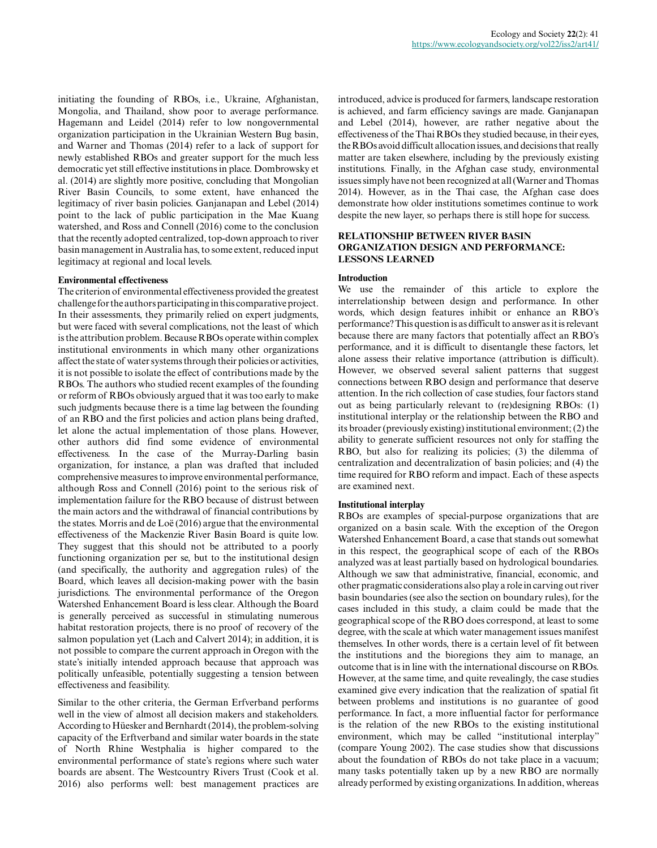initiating the founding of RBOs, i.e., Ukraine, Afghanistan, Mongolia, and Thailand, show poor to average performance. Hagemann and Leidel (2014) refer to low nongovernmental organization participation in the Ukrainian Western Bug basin, and Warner and Thomas (2014) refer to a lack of support for newly established RBOs and greater support for the much less democratic yet still effective institutions in place. Dombrowsky et al. (2014) are slightly more positive, concluding that Mongolian River Basin Councils, to some extent, have enhanced the legitimacy of river basin policies. Ganjanapan and Lebel (2014) point to the lack of public participation in the Mae Kuang watershed, and Ross and Connell (2016) come to the conclusion that the recently adopted centralized, top-down approach to river basin management in Australia has, to some extent, reduced input legitimacy at regional and local levels.

#### **Environmental effectiveness**

The criterion of environmental effectiveness provided the greatest challenge for the authors participating in this comparative project. In their assessments, they primarily relied on expert judgments, but were faced with several complications, not the least of which is the attribution problem. Because RBOs operate within complex institutional environments in which many other organizations affect the state of water systems through their policies or activities, it is not possible to isolate the effect of contributions made by the RBOs. The authors who studied recent examples of the founding or reform of RBOs obviously argued that it was too early to make such judgments because there is a time lag between the founding of an RBO and the first policies and action plans being drafted, let alone the actual implementation of those plans. However, other authors did find some evidence of environmental effectiveness. In the case of the Murray-Darling basin organization, for instance, a plan was drafted that included comprehensive measures to improve environmental performance, although Ross and Connell (2016) point to the serious risk of implementation failure for the RBO because of distrust between the main actors and the withdrawal of financial contributions by the states. Morris and de Loë (2016) argue that the environmental effectiveness of the Mackenzie River Basin Board is quite low. They suggest that this should not be attributed to a poorly functioning organization per se, but to the institutional design (and specifically, the authority and aggregation rules) of the Board, which leaves all decision-making power with the basin jurisdictions. The environmental performance of the Oregon Watershed Enhancement Board is less clear. Although the Board is generally perceived as successful in stimulating numerous habitat restoration projects, there is no proof of recovery of the salmon population yet (Lach and Calvert 2014); in addition, it is not possible to compare the current approach in Oregon with the state's initially intended approach because that approach was politically unfeasible, potentially suggesting a tension between effectiveness and feasibility.

Similar to the other criteria, the German Erfverband performs well in the view of almost all decision makers and stakeholders. According to Hüesker and Bernhardt (2014), the problem-solving capacity of the Erftverband and similar water boards in the state of North Rhine Westphalia is higher compared to the environmental performance of state's regions where such water boards are absent. The Westcountry Rivers Trust (Cook et al. 2016) also performs well: best management practices are

introduced, advice is produced for farmers, landscape restoration is achieved, and farm efficiency savings are made. Ganjanapan and Lebel (2014), however, are rather negative about the effectiveness of the Thai RBOs they studied because, in their eyes, the RBOs avoid difficult allocation issues, and decisions that really matter are taken elsewhere, including by the previously existing institutions. Finally, in the Afghan case study, environmental issues simply have not been recognized at all (Warner and Thomas 2014). However, as in the Thai case, the Afghan case does demonstrate how older institutions sometimes continue to work despite the new layer, so perhaps there is still hope for success.

## **RELATIONSHIP BETWEEN RIVER BASIN ORGANIZATION DESIGN AND PERFORMANCE: LESSONS LEARNED**

## **Introduction**

We use the remainder of this article to explore the interrelationship between design and performance. In other words, which design features inhibit or enhance an RBO's performance? This question is as difficult to answer as it is relevant because there are many factors that potentially affect an RBO's performance, and it is difficult to disentangle these factors, let alone assess their relative importance (attribution is difficult). However, we observed several salient patterns that suggest connections between RBO design and performance that deserve attention. In the rich collection of case studies, four factors stand out as being particularly relevant to (re)designing RBOs: (1) institutional interplay or the relationship between the RBO and its broader (previously existing) institutional environment; (2) the ability to generate sufficient resources not only for staffing the RBO, but also for realizing its policies; (3) the dilemma of centralization and decentralization of basin policies; and (4) the time required for RBO reform and impact. Each of these aspects are examined next.

#### **Institutional interplay**

RBOs are examples of special-purpose organizations that are organized on a basin scale. With the exception of the Oregon Watershed Enhancement Board, a case that stands out somewhat in this respect, the geographical scope of each of the RBOs analyzed was at least partially based on hydrological boundaries. Although we saw that administrative, financial, economic, and other pragmatic considerations also play a role in carving out river basin boundaries (see also the section on boundary rules), for the cases included in this study, a claim could be made that the geographical scope of the RBO does correspond, at least to some degree, with the scale at which water management issues manifest themselves. In other words, there is a certain level of fit between the institutions and the bioregions they aim to manage, an outcome that is in line with the international discourse on RBOs. However, at the same time, and quite revealingly, the case studies examined give every indication that the realization of spatial fit between problems and institutions is no guarantee of good performance. In fact, a more influential factor for performance is the relation of the new RBOs to the existing institutional environment, which may be called "institutional interplay" (compare Young 2002). The case studies show that discussions about the foundation of RBOs do not take place in a vacuum; many tasks potentially taken up by a new RBO are normally already performed by existing organizations. In addition, whereas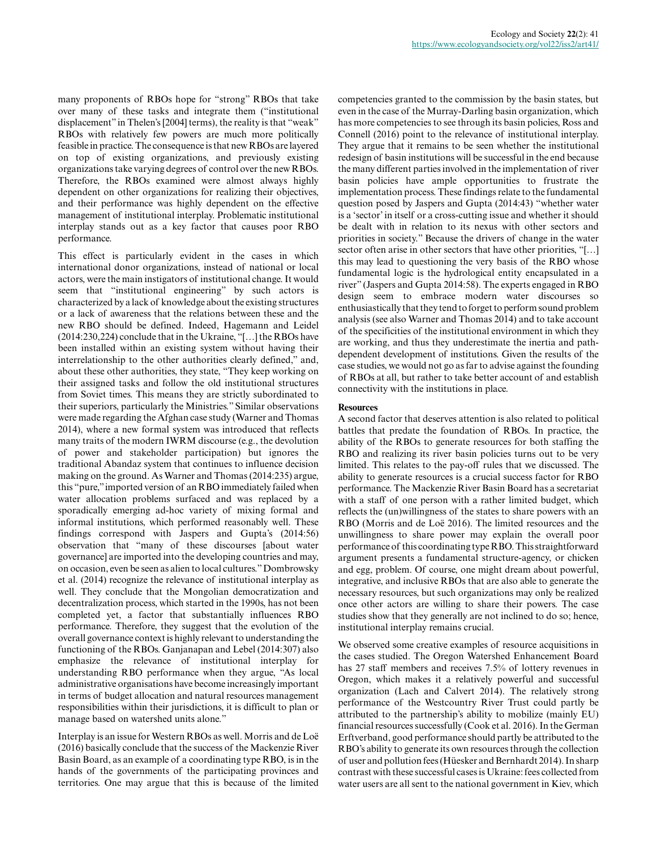many proponents of RBOs hope for "strong" RBOs that take over many of these tasks and integrate them ("institutional displacement" in Thelen's [2004] terms), the reality is that "weak" RBOs with relatively few powers are much more politically feasible in practice. The consequence is that new RBOs are layered on top of existing organizations, and previously existing organizations take varying degrees of control over the new RBOs. Therefore, the RBOs examined were almost always highly dependent on other organizations for realizing their objectives, and their performance was highly dependent on the effective management of institutional interplay. Problematic institutional interplay stands out as a key factor that causes poor RBO performance.

This effect is particularly evident in the cases in which international donor organizations, instead of national or local actors, were the main instigators of institutional change. It would seem that "institutional engineering" by such actors is characterized by a lack of knowledge about the existing structures or a lack of awareness that the relations between these and the new RBO should be defined. Indeed, Hagemann and Leidel (2014:230,224) conclude that in the Ukraine, "[…] the RBOs have been installed within an existing system without having their interrelationship to the other authorities clearly defined," and, about these other authorities, they state, "They keep working on their assigned tasks and follow the old institutional structures from Soviet times. This means they are strictly subordinated to their superiors, particularly the Ministries." Similar observations were made regarding the Afghan case study (Warner and Thomas 2014), where a new formal system was introduced that reflects many traits of the modern IWRM discourse (e.g., the devolution of power and stakeholder participation) but ignores the traditional Abandaz system that continues to influence decision making on the ground. As Warner and Thomas (2014:235) argue, this "pure," imported version of an RBO immediately failed when water allocation problems surfaced and was replaced by a sporadically emerging ad-hoc variety of mixing formal and informal institutions, which performed reasonably well. These findings correspond with Jaspers and Gupta's (2014:56) observation that "many of these discourses [about water governance] are imported into the developing countries and may, on occasion, even be seen as alien to local cultures." Dombrowsky et al. (2014) recognize the relevance of institutional interplay as well. They conclude that the Mongolian democratization and decentralization process, which started in the 1990s, has not been completed yet, a factor that substantially influences RBO performance. Therefore, they suggest that the evolution of the overall governance context is highly relevant to understanding the functioning of the RBOs. Ganjanapan and Lebel (2014:307) also emphasize the relevance of institutional interplay for understanding RBO performance when they argue, "As local administrative organisations have become increasingly important in terms of budget allocation and natural resources management responsibilities within their jurisdictions, it is difficult to plan or manage based on watershed units alone."

Interplay is an issue for Western RBOs as well. Morris and de Loë (2016) basically conclude that the success of the Mackenzie River Basin Board, as an example of a coordinating type RBO, is in the hands of the governments of the participating provinces and territories. One may argue that this is because of the limited competencies granted to the commission by the basin states, but even in the case of the Murray-Darling basin organization, which has more competencies to see through its basin policies, Ross and Connell (2016) point to the relevance of institutional interplay. They argue that it remains to be seen whether the institutional redesign of basin institutions will be successful in the end because the many different parties involved in the implementation of river basin policies have ample opportunities to frustrate the implementation process. These findings relate to the fundamental question posed by Jaspers and Gupta (2014:43) "whether water is a 'sector' in itself or a cross-cutting issue and whether it should be dealt with in relation to its nexus with other sectors and priorities in society." Because the drivers of change in the water sector often arise in other sectors that have other priorities, "[...] this may lead to questioning the very basis of the RBO whose fundamental logic is the hydrological entity encapsulated in a river" (Jaspers and Gupta 2014:58). The experts engaged in RBO design seem to embrace modern water discourses so enthusiastically that they tend to forget to perform sound problem analysis (see also Warner and Thomas 2014) and to take account of the specificities of the institutional environment in which they are working, and thus they underestimate the inertia and pathdependent development of institutions. Given the results of the case studies, we would not go as far to advise against the founding of RBOs at all, but rather to take better account of and establish connectivity with the institutions in place.

## **Resources**

A second factor that deserves attention is also related to political battles that predate the foundation of RBOs. In practice, the ability of the RBOs to generate resources for both staffing the RBO and realizing its river basin policies turns out to be very limited. This relates to the pay-off rules that we discussed. The ability to generate resources is a crucial success factor for RBO performance. The Mackenzie River Basin Board has a secretariat with a staff of one person with a rather limited budget, which reflects the (un)willingness of the states to share powers with an RBO (Morris and de Loë 2016). The limited resources and the unwillingness to share power may explain the overall poor performance of this coordinating type RBO. This straightforward argument presents a fundamental structure-agency, or chicken and egg, problem. Of course, one might dream about powerful, integrative, and inclusive RBOs that are also able to generate the necessary resources, but such organizations may only be realized once other actors are willing to share their powers. The case studies show that they generally are not inclined to do so; hence, institutional interplay remains crucial.

We observed some creative examples of resource acquisitions in the cases studied. The Oregon Watershed Enhancement Board has 27 staff members and receives 7.5% of lottery revenues in Oregon, which makes it a relatively powerful and successful organization (Lach and Calvert 2014). The relatively strong performance of the Westcountry River Trust could partly be attributed to the partnership's ability to mobilize (mainly EU) financial resources successfully (Cook et al. 2016). In the German Erftverband, good performance should partly be attributed to the RBO's ability to generate its own resources through the collection of user and pollution fees (Hüesker and Bernhardt 2014). In sharp contrast with these successful cases is Ukraine: fees collected from water users are all sent to the national government in Kiev, which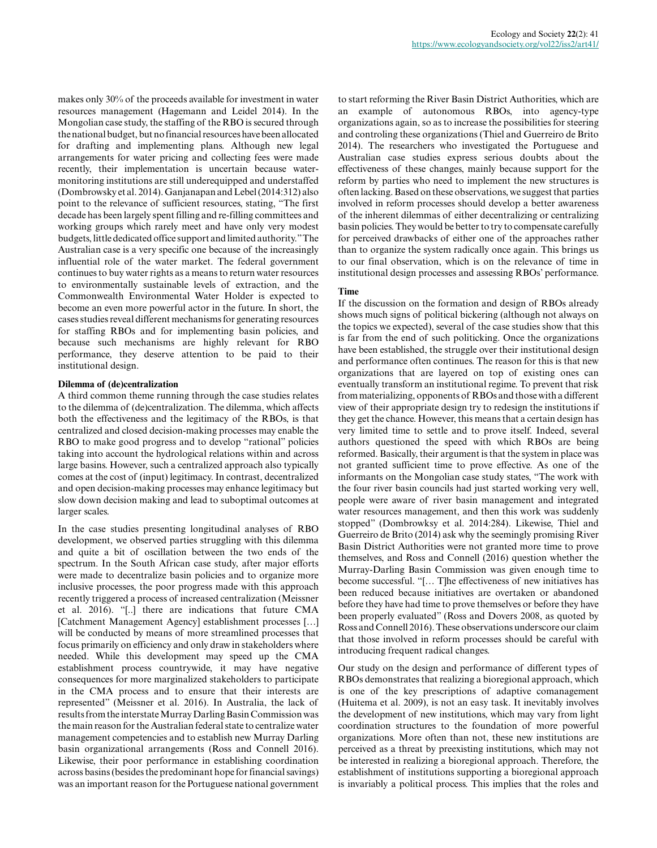makes only 30% of the proceeds available for investment in water resources management (Hagemann and Leidel 2014). In the Mongolian case study, the staffing of the RBO is secured through the national budget, but no financial resources have been allocated for drafting and implementing plans. Although new legal arrangements for water pricing and collecting fees were made recently, their implementation is uncertain because watermonitoring institutions are still underequipped and understaffed (Dombrowsky et al. 2014). Ganjanapan and Lebel (2014:312) also point to the relevance of sufficient resources, stating, "The first decade has been largely spent filling and re-filling committees and working groups which rarely meet and have only very modest budgets, little dedicated office support and limited authority." The Australian case is a very specific one because of the increasingly influential role of the water market. The federal government continues to buy water rights as a means to return water resources to environmentally sustainable levels of extraction, and the Commonwealth Environmental Water Holder is expected to become an even more powerful actor in the future. In short, the cases studies reveal different mechanisms for generating resources for staffing RBOs and for implementing basin policies, and because such mechanisms are highly relevant for RBO performance, they deserve attention to be paid to their institutional design.

## **Dilemma of (de)centralization**

A third common theme running through the case studies relates to the dilemma of (de)centralization. The dilemma, which affects both the effectiveness and the legitimacy of the RBOs, is that centralized and closed decision-making processes may enable the RBO to make good progress and to develop "rational" policies taking into account the hydrological relations within and across large basins. However, such a centralized approach also typically comes at the cost of (input) legitimacy. In contrast, decentralized and open decision-making processes may enhance legitimacy but slow down decision making and lead to suboptimal outcomes at larger scales.

In the case studies presenting longitudinal analyses of RBO development, we observed parties struggling with this dilemma and quite a bit of oscillation between the two ends of the spectrum. In the South African case study, after major efforts were made to decentralize basin policies and to organize more inclusive processes, the poor progress made with this approach recently triggered a process of increased centralization (Meissner et al. 2016). "[..] there are indications that future CMA [Catchment Management Agency] establishment processes […] will be conducted by means of more streamlined processes that focus primarily on efficiency and only draw in stakeholders where needed. While this development may speed up the CMA establishment process countrywide, it may have negative consequences for more marginalized stakeholders to participate in the CMA process and to ensure that their interests are represented" (Meissner et al. 2016). In Australia, the lack of results from the interstate Murray Darling Basin Commission was the main reason for the Australian federal state to centralize water management competencies and to establish new Murray Darling basin organizational arrangements (Ross and Connell 2016). Likewise, their poor performance in establishing coordination across basins (besides the predominant hope for financial savings) was an important reason for the Portuguese national government

to start reforming the River Basin District Authorities, which are an example of autonomous RBOs, into agency-type organizations again, so as to increase the possibilities for steering and controling these organizations (Thiel and Guerreiro de Brito 2014). The researchers who investigated the Portuguese and Australian case studies express serious doubts about the effectiveness of these changes, mainly because support for the reform by parties who need to implement the new structures is often lacking. Based on these observations, we suggest that parties involved in reform processes should develop a better awareness of the inherent dilemmas of either decentralizing or centralizing basin policies. They would be better to try to compensate carefully for perceived drawbacks of either one of the approaches rather than to organize the system radically once again. This brings us to our final observation, which is on the relevance of time in institutional design processes and assessing RBOs' performance.

#### **Time**

If the discussion on the formation and design of RBOs already shows much signs of political bickering (although not always on the topics we expected), several of the case studies show that this is far from the end of such politicking. Once the organizations have been established, the struggle over their institutional design and performance often continues. The reason for this is that new organizations that are layered on top of existing ones can eventually transform an institutional regime. To prevent that risk from materializing, opponents of RBOs and those with a different view of their appropriate design try to redesign the institutions if they get the chance. However, this means that a certain design has very limited time to settle and to prove itself. Indeed, several authors questioned the speed with which RBOs are being reformed. Basically, their argument is that the system in place was not granted sufficient time to prove effective. As one of the informants on the Mongolian case study states, "The work with the four river basin councils had just started working very well, people were aware of river basin management and integrated water resources management, and then this work was suddenly stopped" (Dombrowksy et al. 2014:284). Likewise, Thiel and Guerreiro de Brito (2014) ask why the seemingly promising River Basin District Authorities were not granted more time to prove themselves, and Ross and Connell (2016) question whether the Murray-Darling Basin Commission was given enough time to become successful. "[… T]he effectiveness of new initiatives has been reduced because initiatives are overtaken or abandoned before they have had time to prove themselves or before they have been properly evaluated" (Ross and Dovers 2008, as quoted by Ross and Connell 2016). These observations underscore our claim that those involved in reform processes should be careful with introducing frequent radical changes.

Our study on the design and performance of different types of RBOs demonstrates that realizing a bioregional approach, which is one of the key prescriptions of adaptive comanagement (Huitema et al. 2009), is not an easy task. It inevitably involves the development of new institutions, which may vary from light coordination structures to the foundation of more powerful organizations. More often than not, these new institutions are perceived as a threat by preexisting institutions, which may not be interested in realizing a bioregional approach. Therefore, the establishment of institutions supporting a bioregional approach is invariably a political process. This implies that the roles and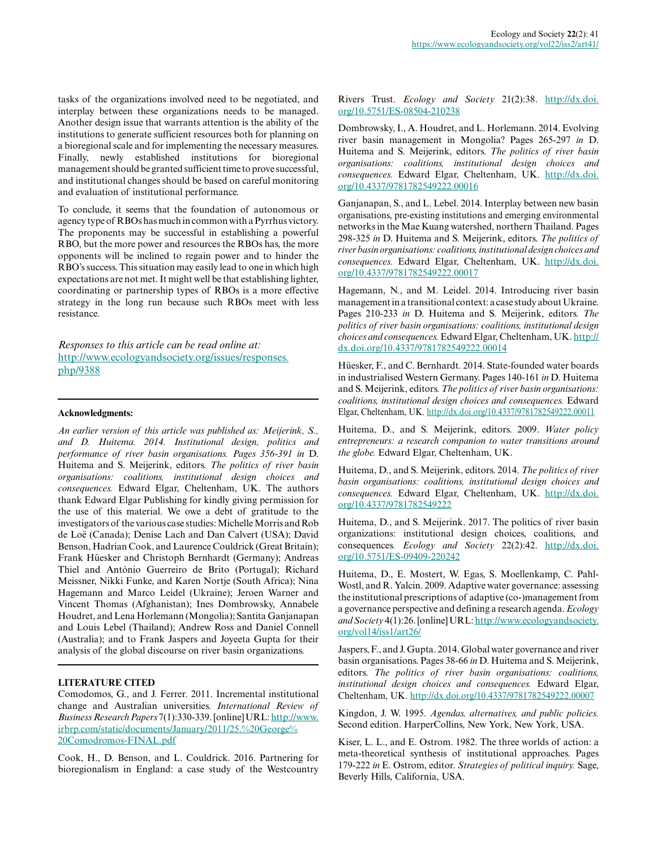tasks of the organizations involved need to be negotiated, and interplay between these organizations needs to be managed. Another design issue that warrants attention is the ability of the institutions to generate sufficient resources both for planning on a bioregional scale and for implementing the necessary measures. Finally, newly established institutions for bioregional management should be granted sufficient time to prove successful, and institutional changes should be based on careful monitoring and evaluation of institutional performance.

To conclude, it seems that the foundation of autonomous or agency type of RBOs has much in common with a Pyrrhus victory. The proponents may be successful in establishing a powerful RBO, but the more power and resources the RBOs has, the more opponents will be inclined to regain power and to hinder the RBO's success. This situation may easily lead to one in which high expectations are not met. It might well be that establishing lighter, coordinating or partnership types of RBOs is a more effective strategy in the long run because such RBOs meet with less resistance.

*Responses to this article can be read online at:* [http://www.ecologyandsociety.org/issues/responses.](http://www.ecologyandsociety.org/issues/responses.php/9388) [php/9388](http://www.ecologyandsociety.org/issues/responses.php/9388)

#### **Acknowledgments:**

*An earlier version of this article was published as: Meijerink, S., and D. Huitema. 2014. Institutional design, politics and performance of river basin organisations. Pages 356-391 in* D. Huitema and S. Meijerink, editors. *The politics of river basin organisations: coalitions, institutional design choices and consequences.* Edward Elgar, Cheltenham, UK. The authors thank Edward Elgar Publishing for kindly giving permission for the use of this material. We owe a debt of gratitude to the investigators of the various case studies: Michelle Morris and Rob de Loë (Canada); Denise Lach and Dan Calvert (USA); David Benson, Hadrian Cook, and Laurence Couldrick (Great Britain); Frank Hüesker and Christoph Bernhardt (Germany); Andreas Thiel and António Guerreiro de Brito (Portugal); Richard Meissner, Nikki Funke, and Karen Nortje (South Africa); Nina Hagemann and Marco Leidel (Ukraine); Jeroen Warner and Vincent Thomas (Afghanistan); Ines Dombrowsky, Annabele Houdret, and Lena Horlemann (Mongolia); Santita Ganjanapan and Louis Lebel (Thailand); Andrew Ross and Daniel Connell (Australia); and to Frank Jaspers and Joyeeta Gupta for their analysis of the global discourse on river basin organizations.

## **LITERATURE CITED**

Comodomos, G., and J. Ferrer. 2011. Incremental institutional change and Australian universities. *International Review of Business Research Papers* 7(1):330-339. [online] URL: [http://www.](http://www.irbrp.com/static/documents/January/2011/25.%20George%20Comodromos-FINAL.pdf) [irbrp.com/static/documents/January/2011/25.%20George%](http://www.irbrp.com/static/documents/January/2011/25.%20George%20Comodromos-FINAL.pdf) [20Comodromos-FINAL.pdf](http://www.irbrp.com/static/documents/January/2011/25.%20George%20Comodromos-FINAL.pdf)

Cook, H., D. Benson, and L. Couldrick. 2016. Partnering for bioregionalism in England: a case study of the Westcountry Rivers Trust. *Ecology and Society* 21(2):38. [http://dx.doi.](http://dx.doi.org/10.5751/ES-08504-210238) [org/10.5751/ES-08504-210238](http://dx.doi.org/10.5751/ES-08504-210238) 

Dombrowsky, I., A. Houdret, and L. Horlemann. 2014. Evolving river basin management in Mongolia? Pages 265-297 *in* D. Huitema and S. Meijerink, editors. *The politics of river basin organisations: coalitions, institutional design choices and consequences.* Edward Elgar, Cheltenham, UK. [http://dx.doi.](http://dx.doi.org/10.4337/9781782549222.00016) [org/10.4337/9781782549222.00016](http://dx.doi.org/10.4337/9781782549222.00016) 

Ganjanapan, S., and L. Lebel. 2014. Interplay between new basin organisations, pre-existing institutions and emerging environmental networks in the Mae Kuang watershed, northern Thailand. Pages 298-325 *in* D. Huitema and S. Meijerink, editors. *The politics of river basin organisations: coalitions, institutional design choices and consequences.* Edward Elgar, Cheltenham, UK. [http://dx.doi.](http://dx.doi.org/10.4337/9781782549222.00017) [org/10.4337/9781782549222.00017](http://dx.doi.org/10.4337/9781782549222.00017) 

Hagemann, N., and M. Leidel. 2014. Introducing river basin management in a transitional context: a case study about Ukraine. Pages 210-233 *in* D. Huitema and S. Meijerink, editors. *The politics of river basin organisations: coalitions, institutional design choices and consequences.* Edward Elgar, Cheltenham, UK. [http://](http://dx.doi.org/10.4337/9781782549222.00014) [dx.doi.org/10.4337/9781782549222.00014](http://dx.doi.org/10.4337/9781782549222.00014)

Hüesker, F., and C. Bernhardt. 2014. State-founded water boards in industrialised Western Germany. Pages 140-161 *in* D. Huitema and S. Meijerink, editors. *The politics of river basin organisations: coalitions, institutional design choices and consequences.* Edward Elgar, Cheltenham, UK. <http://dx.doi.org/10.4337/9781782549222.00011>

Huitema, D., and S. Meijerink, editors. 2009. *Water policy entrepreneurs: a research companion to water transitions around the globe.* Edward Elgar, Cheltenham, UK.

Huitema, D., and S. Meijerink, editors. 2014. *The politics of river basin organisations: coalitions, institutional design choices and consequences.* Edward Elgar, Cheltenham, UK. [http://dx.doi.](http://dx.doi.org/10.4337/9781782549222) [org/10.4337/9781782549222](http://dx.doi.org/10.4337/9781782549222) 

Huitema, D., and S. Meijerink. 2017. The politics of river basin organizations: institutional design choices, coalitions, and consequences. *Ecology and Society* 22(2):42. [http://dx.doi.](http://dx.doi.org/10.5751/ES-09409-220242) [org/10.5751/ES-09409-220242](http://dx.doi.org/10.5751/ES-09409-220242) 

Huitema, D., E. Mostert, W. Egas, S. Moellenkamp, C. Pahl-Wostl, and R. Yalcin. 2009. Adaptive water governance: assessing the institutional prescriptions of adaptive (co-)management from a governance perspective and defining a research agenda. *Ecology and Society* 4(1):26. [online] URL: [http://www.ecologyandsociety.](http://www.ecologyandsociety.org/vol14/iss1/art26/) [org/vol14/iss1/art26/](http://www.ecologyandsociety.org/vol14/iss1/art26/)

Jaspers, F., and J. Gupta. 2014. Global water governance and river basin organisations. Pages 38-66 *in* D. Huitema and S. Meijerink, editors. *The politics of river basin organisations: coalitions, institutional design choices and consequences.* Edward Elgar, Cheltenham, UK.<http://dx.doi.org/10.4337/9781782549222.00007>

Kingdon, J. W. 1995. *Agendas, alternatives, and public policies.* Second edition. HarperCollins, New York, New York, USA.

Kiser, L. L., and E. Ostrom. 1982. The three worlds of action: a meta-theoretical synthesis of institutional approaches. Pages 179-222 *in* E. Ostrom, editor. *Strategies of political inquiry.* Sage, Beverly Hills, California, USA.